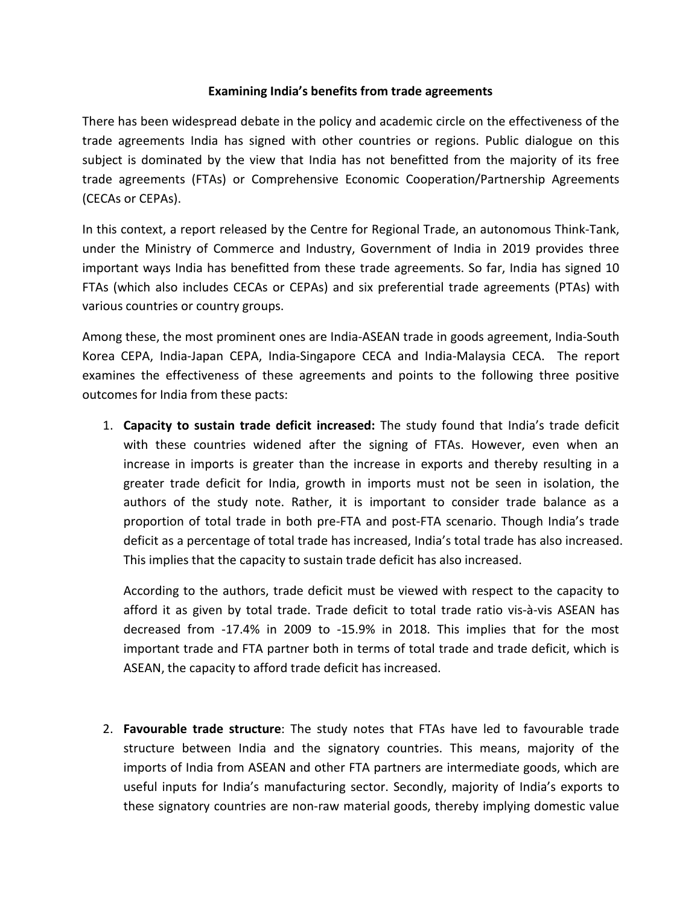## **Examining India's benefits from trade agreements**

There has been widespread debate in the policy and academic circle on the effectiveness of the trade agreements India has signed with other countries or regions. Public dialogue on this subject is dominated by the view that India has not benefitted from the majority of its free trade agreements (FTAs) or Comprehensive Economic Cooperation/Partnership Agreements (CECAs or CEPAs).

In this context, a report released by the Centre for Regional Trade, an autonomous Think-Tank, under the Ministry of Commerce and Industry, Government of India in 2019 provides three important ways India has benefitted from these trade agreements. So far, India has signed 10 FTAs (which also includes CECAs or CEPAs) and six preferential trade agreements (PTAs) with various countries or country groups.

Among these, the most prominent ones are India-ASEAN trade in goods agreement, India-South Korea CEPA, India-Japan CEPA, India-Singapore CECA and India-Malaysia CECA. The report examines the effectiveness of these agreements and points to the following three positive outcomes for India from these pacts:

1. **Capacity to sustain trade deficitincreased:** The study found that India's trade deficit with these countries widened after the signing of FTAs. However, even when an increase in imports is greater than the increase in exports and thereby resulting in a greater trade deficit for India, growth in imports must not be seen in isolation, the authors of the study note. Rather, it is important to consider trade balance as a proportion of total trade in both pre-FTA and post-FTA scenario. Though India's trade deficit as a percentage of total trade has increased, India's total trade has also increased. This implies that the capacity to sustain trade deficit has also increased.

According to the authors, trade deficit must be viewed with respect to the capacity to afford it as given by total trade. Trade deficit to total trade ratio vis-à-vis ASEAN has decreased from -17.4% in 2009 to -15.9% in 2018. Thisimplies that for the most important trade and FTA partner both in terms of total trade and trade deficit, which is ASEAN, the capacity to afford trade deficit has increased.

2. **Favourable trade structure**:The study notes that FTAs have led to favourable trade structure between India and the signatory countries. This means, majority of the imports of India from ASEAN and other FTA partners are intermediate goods, which are useful inputs for India's manufacturing sector. Secondly, majority of India's exports to these signatory countries are non-raw material goods, thereby implying domestic value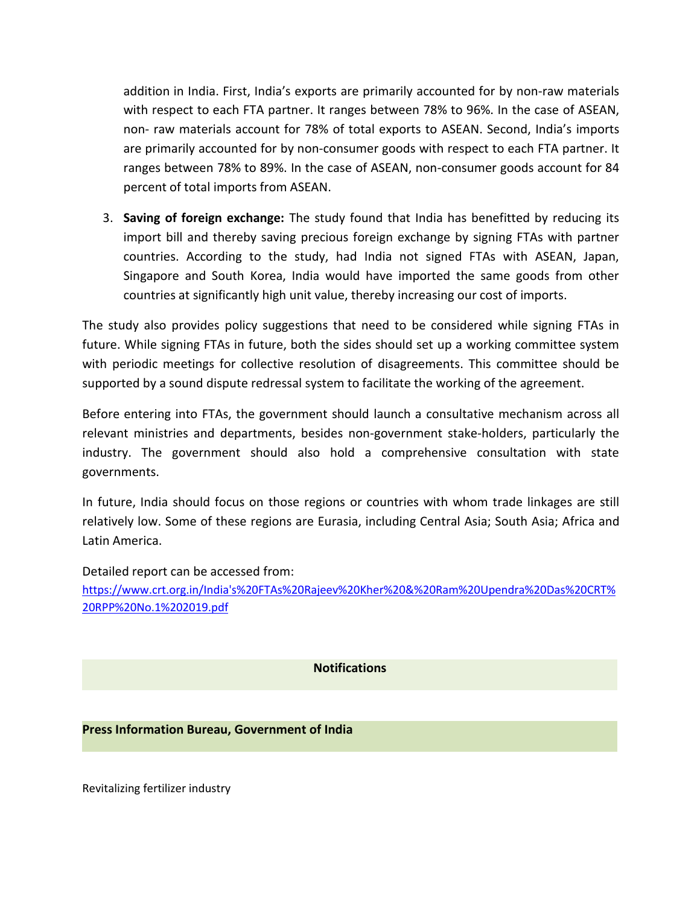addition in India. First, India's exports are primarily accounted for by non-raw materials with respect to each FTA partner. It ranges between 78% to 96%. In the case of ASEAN, non- raw materials account for 78% of total exports to ASEAN. Second, India's imports are primarily accounted for by non-consumer goods with respect to each FTA partner. It ranges between 78% to 89%. In the case of ASEAN, non-consumer goods account for 84 percent of total imports from ASEAN.

3. **Saving of foreign exchange:** The study found that India has benefitted byreducing its import bill and thereby saving precious foreign exchange by signing FTAs with partner countries. According to the study, had India not signed FTAs with ASEAN, Japan, Singapore and South Korea, India would have imported the same goods from other countries at significantly high unit value, thereby increasing our cost of imports.

The study also provides policy suggestions that need to be considered while signing FTAs in future. While signing FTAs in future, both the sides should set up a working committee system with periodic meetings for collective resolution of disagreements. This committee should be supported by a sound dispute redressal system to facilitate the working of the agreement.

Before entering into FTAs, the government should launch a consultative mechanism across all relevant ministries and departments, besides non-government stake-holders, particularly the industry. The government should also hold a comprehensive consultation with state governments.

In future, India should focus on those regions or countries with whom trade linkages are still relatively low. Some of these regions are Eurasia, including Central Asia; South Asia; Africa and Latin America.

Detailed report can be accessed from:

[https://www.crt.org.in/India's%20FTAs%20Rajeev%20Kher%20&%20Ram%20Upendra%20Das%20CRT%](https://www.crt.org.in/India) 20RPP%20No.1%202019.pdf

**Notifications**

## **Press Information Bureau, Government of India**

Revitalizing fertilizer industry